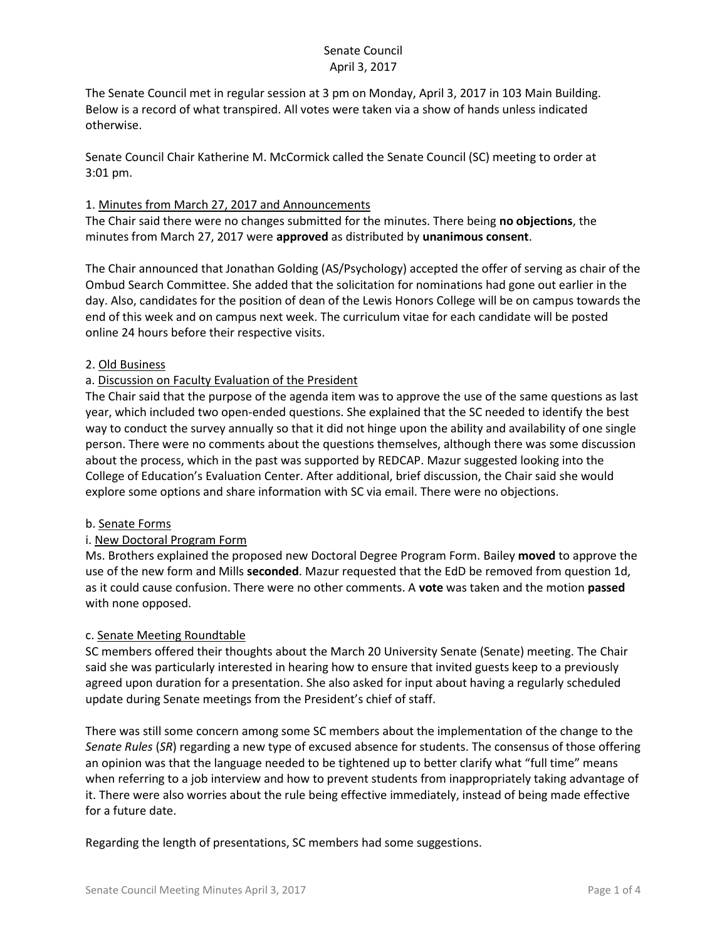## Senate Council April 3, 2017

The Senate Council met in regular session at 3 pm on Monday, April 3, 2017 in 103 Main Building. Below is a record of what transpired. All votes were taken via a show of hands unless indicated otherwise.

Senate Council Chair Katherine M. McCormick called the Senate Council (SC) meeting to order at 3:01 pm.

### 1. Minutes from March 27, 2017 and Announcements

The Chair said there were no changes submitted for the minutes. There being **no objections**, the minutes from March 27, 2017 were **approved** as distributed by **unanimous consent**.

The Chair announced that Jonathan Golding (AS/Psychology) accepted the offer of serving as chair of the Ombud Search Committee. She added that the solicitation for nominations had gone out earlier in the day. Also, candidates for the position of dean of the Lewis Honors College will be on campus towards the end of this week and on campus next week. The curriculum vitae for each candidate will be posted online 24 hours before their respective visits.

## 2. Old Business

## a. Discussion on Faculty Evaluation of the President

The Chair said that the purpose of the agenda item was to approve the use of the same questions as last year, which included two open-ended questions. She explained that the SC needed to identify the best way to conduct the survey annually so that it did not hinge upon the ability and availability of one single person. There were no comments about the questions themselves, although there was some discussion about the process, which in the past was supported by REDCAP. Mazur suggested looking into the College of Education's Evaluation Center. After additional, brief discussion, the Chair said she would explore some options and share information with SC via email. There were no objections.

### b. Senate Forms

### i. New Doctoral Program Form

Ms. Brothers explained the proposed new Doctoral Degree Program Form. Bailey **moved** to approve the use of the new form and Mills **seconded**. Mazur requested that the EdD be removed from question 1d, as it could cause confusion. There were no other comments. A **vote** was taken and the motion **passed**  with none opposed.

### c. Senate Meeting Roundtable

SC members offered their thoughts about the March 20 University Senate (Senate) meeting. The Chair said she was particularly interested in hearing how to ensure that invited guests keep to a previously agreed upon duration for a presentation. She also asked for input about having a regularly scheduled update during Senate meetings from the President's chief of staff.

There was still some concern among some SC members about the implementation of the change to the *Senate Rules* (*SR*) regarding a new type of excused absence for students. The consensus of those offering an opinion was that the language needed to be tightened up to better clarify what "full time" means when referring to a job interview and how to prevent students from inappropriately taking advantage of it. There were also worries about the rule being effective immediately, instead of being made effective for a future date.

Regarding the length of presentations, SC members had some suggestions.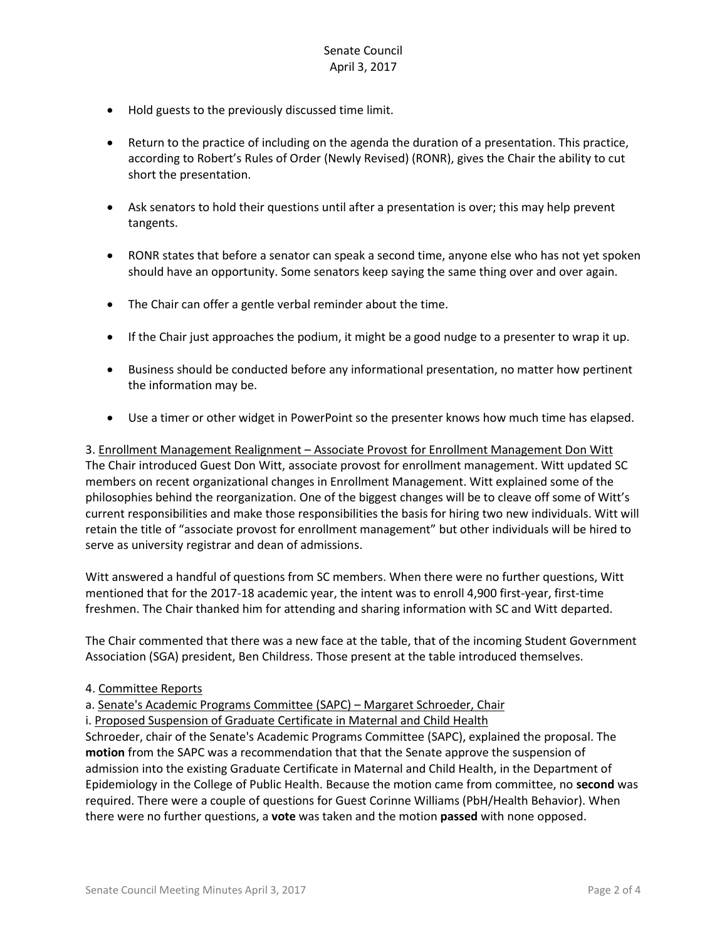- Hold guests to the previously discussed time limit.
- Return to the practice of including on the agenda the duration of a presentation. This practice, according to Robert's Rules of Order (Newly Revised) (RONR), gives the Chair the ability to cut short the presentation.
- Ask senators to hold their questions until after a presentation is over; this may help prevent tangents.
- RONR states that before a senator can speak a second time, anyone else who has not yet spoken should have an opportunity. Some senators keep saying the same thing over and over again.
- The Chair can offer a gentle verbal reminder about the time.
- If the Chair just approaches the podium, it might be a good nudge to a presenter to wrap it up.
- Business should be conducted before any informational presentation, no matter how pertinent the information may be.
- Use a timer or other widget in PowerPoint so the presenter knows how much time has elapsed.

3. Enrollment Management Realignment – Associate Provost for Enrollment Management Don Witt The Chair introduced Guest Don Witt, associate provost for enrollment management. Witt updated SC members on recent organizational changes in Enrollment Management. Witt explained some of the philosophies behind the reorganization. One of the biggest changes will be to cleave off some of Witt's current responsibilities and make those responsibilities the basis for hiring two new individuals. Witt will retain the title of "associate provost for enrollment management" but other individuals will be hired to serve as university registrar and dean of admissions.

Witt answered a handful of questions from SC members. When there were no further questions, Witt mentioned that for the 2017-18 academic year, the intent was to enroll 4,900 first-year, first-time freshmen. The Chair thanked him for attending and sharing information with SC and Witt departed.

The Chair commented that there was a new face at the table, that of the incoming Student Government Association (SGA) president, Ben Childress. Those present at the table introduced themselves.

#### 4. Committee Reports

a. Senate's Academic Programs Committee (SAPC) – Margaret Schroeder, Chair

i. Proposed Suspension of Graduate Certificate in Maternal and Child Health

Schroeder, chair of the Senate's Academic Programs Committee (SAPC), explained the proposal. The **motion** from the SAPC was a recommendation that that the Senate approve the suspension of admission into the existing Graduate Certificate in Maternal and Child Health, in the Department of Epidemiology in the College of Public Health. Because the motion came from committee, no **second** was required. There were a couple of questions for Guest Corinne Williams (PbH/Health Behavior). When there were no further questions, a **vote** was taken and the motion **passed** with none opposed.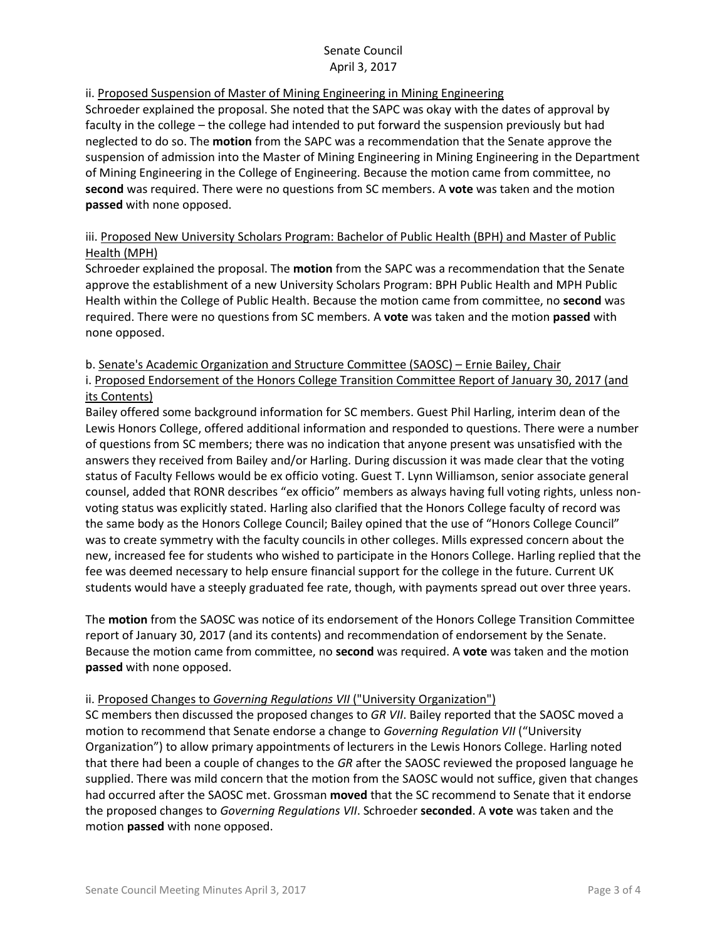## Senate Council April 3, 2017

## ii. Proposed Suspension of Master of Mining Engineering in Mining Engineering

Schroeder explained the proposal. She noted that the SAPC was okay with the dates of approval by faculty in the college – the college had intended to put forward the suspension previously but had neglected to do so. The **motion** from the SAPC was a recommendation that the Senate approve the suspension of admission into the Master of Mining Engineering in Mining Engineering in the Department of Mining Engineering in the College of Engineering. Because the motion came from committee, no **second** was required. There were no questions from SC members. A **vote** was taken and the motion **passed** with none opposed.

# iii. Proposed New University Scholars Program: Bachelor of Public Health (BPH) and Master of Public Health (MPH)

Schroeder explained the proposal. The **motion** from the SAPC was a recommendation that the Senate approve the establishment of a new University Scholars Program: BPH Public Health and MPH Public Health within the College of Public Health. Because the motion came from committee, no **second** was required. There were no questions from SC members. A **vote** was taken and the motion **passed** with none opposed.

## b. Senate's Academic Organization and Structure Committee (SAOSC) – Ernie Bailey, Chair

i. Proposed Endorsement of the Honors College Transition Committee Report of January 30, 2017 (and its Contents)

Bailey offered some background information for SC members. Guest Phil Harling, interim dean of the Lewis Honors College, offered additional information and responded to questions. There were a number of questions from SC members; there was no indication that anyone present was unsatisfied with the answers they received from Bailey and/or Harling. During discussion it was made clear that the voting status of Faculty Fellows would be ex officio voting. Guest T. Lynn Williamson, senior associate general counsel, added that RONR describes "ex officio" members as always having full voting rights, unless nonvoting status was explicitly stated. Harling also clarified that the Honors College faculty of record was the same body as the Honors College Council; Bailey opined that the use of "Honors College Council" was to create symmetry with the faculty councils in other colleges. Mills expressed concern about the new, increased fee for students who wished to participate in the Honors College. Harling replied that the fee was deemed necessary to help ensure financial support for the college in the future. Current UK students would have a steeply graduated fee rate, though, with payments spread out over three years.

The **motion** from the SAOSC was notice of its endorsement of the Honors College Transition Committee report of January 30, 2017 (and its contents) and recommendation of endorsement by the Senate. Because the motion came from committee, no **second** was required. A **vote** was taken and the motion **passed** with none opposed.

# ii. Proposed Changes to *Governing Regulations VII* ("University Organization")

SC members then discussed the proposed changes to *GR VII*. Bailey reported that the SAOSC moved a motion to recommend that Senate endorse a change to *Governing Regulation VII* ("University Organization") to allow primary appointments of lecturers in the Lewis Honors College. Harling noted that there had been a couple of changes to the *GR* after the SAOSC reviewed the proposed language he supplied. There was mild concern that the motion from the SAOSC would not suffice, given that changes had occurred after the SAOSC met. Grossman **moved** that the SC recommend to Senate that it endorse the proposed changes to *Governing Regulations VII*. Schroeder **seconded**. A **vote** was taken and the motion **passed** with none opposed.